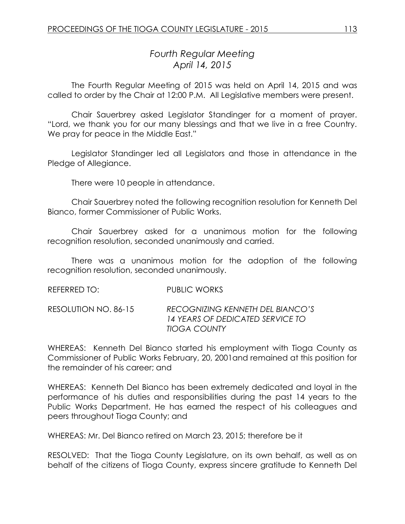# *Fourth Regular Meeting April 14, 2015*

The Fourth Regular Meeting of 2015 was held on April 14, 2015 and was called to order by the Chair at 12:00 P.M. All Legislative members were present.

Chair Sauerbrey asked Legislator Standinger for a moment of prayer. "Lord, we thank you for our many blessings and that we live in a free Country. We pray for peace in the Middle East."

Legislator Standinger led all Legislators and those in attendance in the Pledge of Allegiance.

There were 10 people in attendance.

Chair Sauerbrey noted the following recognition resolution for Kenneth Del Bianco, former Commissioner of Public Works.

Chair Sauerbrey asked for a unanimous motion for the following recognition resolution, seconded unanimously and carried.

There was a unanimous motion for the adoption of the following recognition resolution, seconded unanimously.

REFERRED TO: PUBLIC WORKS

RESOLUTION NO. 86-15 *RECOGNIZING KENNETH DEL BIANCO'S 14 YEARS OF DEDICATED SERVICE TO TIOGA COUNTY*

WHEREAS: Kenneth Del Bianco started his employment with Tioga County as Commissioner of Public Works February, 20, 2001and remained at this position for the remainder of his career; and

WHEREAS: Kenneth Del Bianco has been extremely dedicated and loyal in the performance of his duties and responsibilities during the past 14 years to the Public Works Department. He has earned the respect of his colleagues and peers throughout Tioga County; and

WHEREAS: Mr. Del Bianco retired on March 23, 2015; therefore be it

RESOLVED: That the Tioga County Legislature, on its own behalf, as well as on behalf of the citizens of Tioga County, express sincere gratitude to Kenneth Del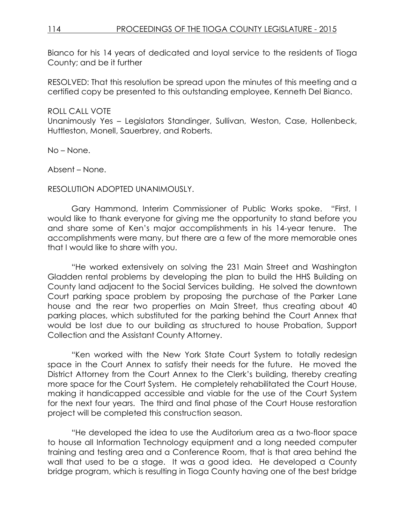# 114 PROCEEDINGS OF THE TIOGA COUNTY LEGISLATURE - 2015

Bianco for his 14 years of dedicated and loyal service to the residents of Tioga County; and be it further

RESOLVED: That this resolution be spread upon the minutes of this meeting and a certified copy be presented to this outstanding employee, Kenneth Del Bianco.

#### ROLL CALL VOTE

Unanimously Yes – Legislators Standinger, Sullivan, Weston, Case, Hollenbeck, Huttleston, Monell, Sauerbrey, and Roberts.

No – None.

Absent – None.

#### RESOLUTION ADOPTED UNANIMOUSLY.

Gary Hammond, Interim Commissioner of Public Works spoke. "First, I would like to thank everyone for giving me the opportunity to stand before you and share some of Ken's major accomplishments in his 14-year tenure. The accomplishments were many, but there are a few of the more memorable ones that I would like to share with you.

"He worked extensively on solving the 231 Main Street and Washington Gladden rental problems by developing the plan to build the HHS Building on County land adjacent to the Social Services building. He solved the downtown Court parking space problem by proposing the purchase of the Parker Lane house and the rear two properties on Main Street, thus creating about 40 parking places, which substituted for the parking behind the Court Annex that would be lost due to our building as structured to house Probation, Support Collection and the Assistant County Attorney.

"Ken worked with the New York State Court System to totally redesign space in the Court Annex to satisfy their needs for the future. He moved the District Attorney from the Court Annex to the Clerk's building, thereby creating more space for the Court System. He completely rehabilitated the Court House, making it handicapped accessible and viable for the use of the Court System for the next four years. The third and final phase of the Court House restoration project will be completed this construction season.

"He developed the idea to use the Auditorium area as a two-floor space to house all Information Technology equipment and a long needed computer training and testing area and a Conference Room, that is that area behind the wall that used to be a stage. It was a good idea. He developed a County bridge program, which is resulting in Tioga County having one of the best bridge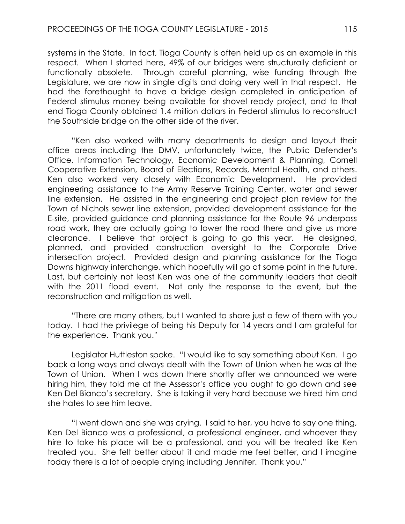systems in the State. In fact, Tioga County is often held up as an example in this respect. When I started here, 49% of our bridges were structurally deficient or functionally obsolete. Through careful planning, wise funding through the Legislature, we are now in single digits and doing very well in that respect. He had the forethought to have a bridge design completed in anticipation of Federal stimulus money being available for shovel ready project, and to that end Tioga County obtained 1.4 million dollars in Federal stimulus to reconstruct the Southside bridge on the other side of the river.

"Ken also worked with many departments to design and layout their office areas including the DMV, unfortunately twice, the Public Defender's Office, Information Technology, Economic Development & Planning, Cornell Cooperative Extension, Board of Elections, Records, Mental Health, and others. Ken also worked very closely with Economic Development. He provided engineering assistance to the Army Reserve Training Center, water and sewer line extension. He assisted in the engineering and project plan review for the Town of Nichols sewer line extension, provided development assistance for the E-site, provided guidance and planning assistance for the Route 96 underpass road work, they are actually going to lower the road there and give us more clearance. I believe that project is going to go this year. He designed, planned, and provided construction oversight to the Corporate Drive intersection project. Provided design and planning assistance for the Tioga Downs highway interchange, which hopefully will go at some point in the future. Last, but certainly not least Ken was one of the community leaders that dealt with the 2011 flood event. Not only the response to the event, but the reconstruction and mitigation as well.

"There are many others, but I wanted to share just a few of them with you today. I had the privilege of being his Deputy for 14 years and I am grateful for the experience. Thank you."

Legislator Huttleston spoke. "I would like to say something about Ken. I go back a long ways and always dealt with the Town of Union when he was at the Town of Union. When I was down there shortly after we announced we were hiring him, they told me at the Assessor's office you ought to go down and see Ken Del Bianco's secretary. She is taking it very hard because we hired him and she hates to see him leave.

"I went down and she was crying. I said to her, you have to say one thing, Ken Del Bianco was a professional, a professional engineer, and whoever they hire to take his place will be a professional, and you will be treated like Ken treated you. She felt better about it and made me feel better, and I imagine today there is a lot of people crying including Jennifer. Thank you."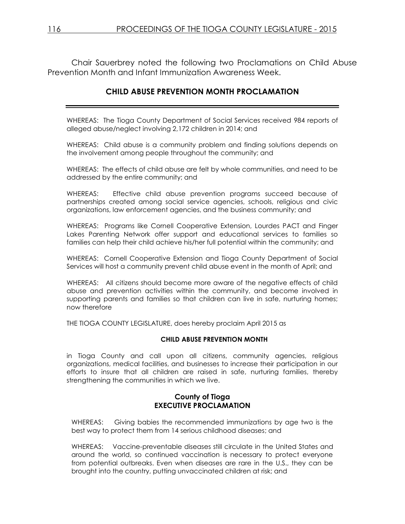Chair Sauerbrey noted the following two Proclamations on Child Abuse Prevention Month and Infant Immunization Awareness Week.

# **CHILD ABUSE PREVENTION MONTH PROCLAMATION**

WHEREAS: The Tioga County Department of Social Services received 984 reports of alleged abuse/neglect involving 2,172 children in 2014; and

WHEREAS: Child abuse is a community problem and finding solutions depends on the involvement among people throughout the community; and

WHEREAS: The effects of child abuse are felt by whole communities, and need to be addressed by the entire community; and

WHEREAS: Effective child abuse prevention programs succeed because of partnerships created among social service agencies, schools, religious and civic organizations, law enforcement agencies, and the business community; and

WHEREAS: Programs like Cornell Cooperative Extension, Lourdes PACT and Finger Lakes Parenting Network offer support and educational services to families so families can help their child achieve his/her full potential within the community; and

WHEREAS: Cornell Cooperative Extension and Tioga County Department of Social Services will host a community prevent child abuse event in the month of April; and

WHEREAS: All citizens should become more aware of the negative effects of child abuse and prevention activities within the community, and become involved in supporting parents and families so that children can live in safe, nurturing homes; now therefore

THE TIOGA COUNTY LEGISLATURE, does hereby proclaim April 2015 as

#### **CHILD ABUSE PREVENTION MONTH**

in Tioga County and call upon all citizens, community agencies, religious organizations, medical facilities, and businesses to increase their participation in our efforts to insure that all children are raised in safe, nurturing families, thereby strengthening the communities in which we live.

#### **County of Tioga EXECUTIVE PROCLAMATION**

WHEREAS: Giving babies the recommended immunizations by age two is the best way to protect them from 14 serious childhood diseases; and

WHEREAS: Vaccine-preventable diseases still circulate in the United States and around the world, so continued vaccination is necessary to protect everyone from potential outbreaks. Even when diseases are rare in the U.S., they can be brought into the country, putting unvaccinated children at risk; and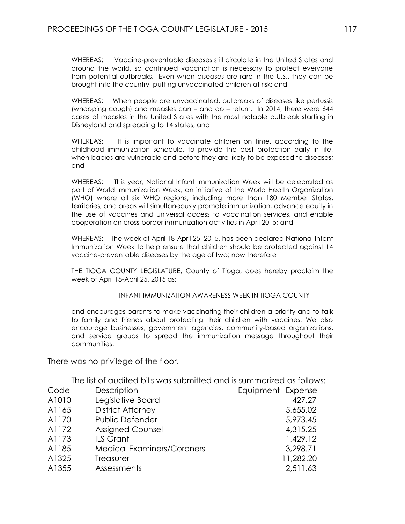WHEREAS: Vaccine-preventable diseases still circulate in the United States and around the world, so continued vaccination is necessary to protect everyone from potential outbreaks. Even when diseases are rare in the U.S., they can be brought into the country, putting unvaccinated children at risk; and

WHEREAS: When people are unvaccinated, outbreaks of diseases like pertussis (whooping cough) and measles can – and do – return. In 2014, there were 644 cases of measles in the United States with the most notable outbreak starting in Disneyland and spreading to 14 states; and

WHEREAS: It is important to vaccinate children on time, according to the childhood immunization schedule, to provide the best protection early in life, when babies are vulnerable and before they are likely to be exposed to diseases; and

WHEREAS: This year, National Infant Immunization Week will be celebrated as part of World Immunization Week, an initiative of the World Health Organization (WHO) where all six WHO regions, including more than 180 Member States, territories, and areas will simultaneously promote immunization, advance equity in the use of vaccines and universal access to vaccination services, and enable cooperation on cross-border immunization activities in April 2015; and

WHEREAS: The week of April 18-April 25, 2015, has been declared National Infant Immunization Week to help ensure that children should be protected against 14 vaccine-preventable diseases by the age of two; now therefore

THE TIOGA COUNTY LEGISLATURE, County of Tioga, does hereby proclaim the week of April 18-April 25, 2015 as:

INFANT IMMUNIZATION AWARENESS WEEK IN TIOGA COUNTY

and encourages parents to make vaccinating their children a priority and to talk to family and friends about protecting their children with vaccines. We also encourage businesses, government agencies, community-based organizations, and service groups to spread the immunization message throughout their communities.

There was no privilege of the floor.

The list of audited bills was submitted and is summarized as follows:

| Code  | Description                       | Equipment Expense |           |
|-------|-----------------------------------|-------------------|-----------|
| A1010 | Legislative Board                 |                   | 427.27    |
| A1165 | <b>District Attorney</b>          |                   | 5,655.02  |
| A1170 | <b>Public Defender</b>            |                   | 5,973.45  |
| A1172 | <b>Assigned Counsel</b>           |                   | 4,315.25  |
| A1173 | <b>ILS Grant</b>                  |                   | 1,429.12  |
| A1185 | <b>Medical Examiners/Coroners</b> |                   | 3,298.71  |
| A1325 | Treasurer                         |                   | 11,282.20 |
| A1355 | Assessments                       |                   | 2,511.63  |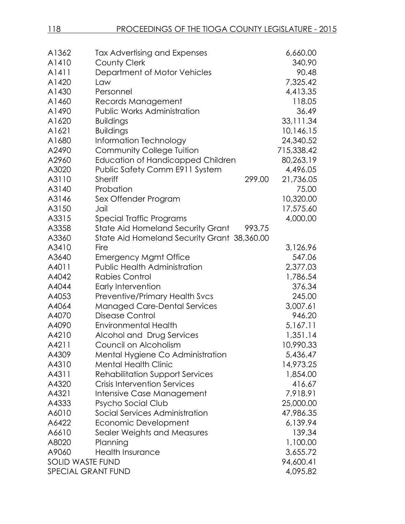| 118                | PROCEEDINGS OF THE TIOGA COUNTY LEGISLATURE - 2015 |                    |
|--------------------|----------------------------------------------------|--------------------|
|                    |                                                    |                    |
| A1362<br>A1410     | Tax Advertising and Expenses                       | 6,660.00<br>340.90 |
| A1411              | <b>County Clerk</b>                                | 90.48              |
|                    | Department of Motor Vehicles                       |                    |
| A1420              | Law                                                | 7,325.42           |
| A1430              | Personnel                                          | 4,413.35           |
| A1460              | Records Management                                 | 118.05             |
| A1490              | <b>Public Works Administration</b>                 | 36.49              |
| A1620              | <b>Buildings</b>                                   | 33,111.34          |
| A1621              | <b>Buildings</b>                                   | 10,146.15          |
| A1680              | Information Technology                             | 24,340.52          |
| A2490              | Community College Tuition                          | 715,338.42         |
| A2960              | <b>Education of Handicapped Children</b>           | 80,263.19          |
| A3020              | Public Safety Comm E911 System                     | 4,496.05           |
| A3110              | <b>Sheriff</b><br>299.00                           | 21,736.05          |
| A3140              | Probation                                          | 75.00              |
| A3146              | Sex Offender Program                               | 10,320.00          |
| A3150              | Jail                                               | 17,575.60          |
| A3315              | Special Traffic Programs                           | 4,000.00           |
| A3358              | <b>State Aid Homeland Security Grant</b><br>993.75 |                    |
| A3360              | State Aid Homeland Security Grant 38,360.00        |                    |
| A3410              | Fire                                               | 3,126.96           |
| A3640              | <b>Emergency Mgmt Office</b>                       | 547.06             |
| A4011              | <b>Public Health Administration</b>                | 2,377.03           |
| A4042              | <b>Rabies Control</b>                              | 1,786.54           |
| A4044              | Early Intervention                                 | 376.34             |
| A4053              | Preventive/Primary Health Svcs                     | 245.00             |
| A4064              | <b>Managed Care-Dental Services</b>                | 3,007.61           |
| A4070              | Disease Control                                    | 946.20             |
| A4090              | <b>Environmental Health</b>                        | 5,167.11           |
| A4210              | Alcohol and Drug Services                          | 1,351.14           |
| A4211              | Council on Alcoholism                              | 10,990.33          |
| A4309              | Mental Hygiene Co Administration                   | 5,436.47           |
| A4310              | <b>Mental Health Clinic</b>                        | 14,973.25          |
| A4311              | <b>Rehabilitation Support Services</b>             | 1,854.00           |
| A4320              | <b>Crisis Intervention Services</b>                | 416.67             |
| A4321              | Intensive Case Management                          | 7,918.91           |
| A4333              | Psycho Social Club                                 | 25,000.00          |
| A6010              | Social Services Administration                     | 47,986.35          |
| A6422              | Economic Development                               | 6,139.94           |
| A6610              | Sealer Weights and Measures                        | 139.34             |
| A8020              | Planning                                           | 1,100.00           |
| A9060              | <b>Health Insurance</b>                            | 3,655.72           |
| SOLID WASTE FUND   |                                                    | 94,600.41          |
| SPECIAL GRANT FUND |                                                    | 4,095.82           |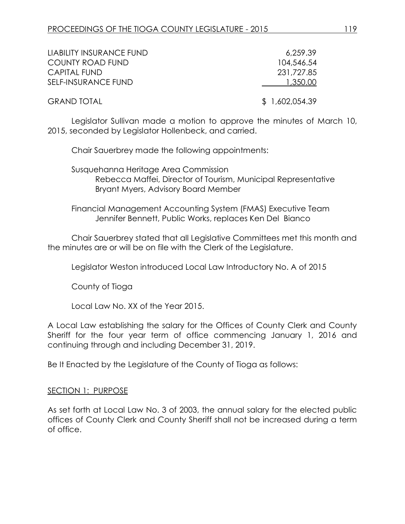| LIABILITY INSURANCE FUND | 6.259.39       |
|--------------------------|----------------|
| <b>COUNTY ROAD FUND</b>  | 104,546,54     |
| <b>CAPITAL FUND</b>      | 231,727.85     |
| SELF-INSURANCE FUND      | 1,350.00       |
| <b>GRAND TOTAL</b>       | \$1,602,054.39 |

Legislator Sullivan made a motion to approve the minutes of March 10, 2015, seconded by Legislator Hollenbeck, and carried.

Chair Sauerbrey made the following appointments:

Susquehanna Heritage Area Commission Rebecca Maffei, Director of Tourism, Municipal Representative Bryant Myers, Advisory Board Member

Financial Management Accounting System (FMAS) Executive Team Jennifer Bennett, Public Works, replaces Ken Del Bianco

Chair Sauerbrey stated that all Legislative Committees met this month and the minutes are or will be on file with the Clerk of the Legislature.

Legislator Weston introduced Local Law Introductory No. A of 2015

County of Tioga

Local Law No. XX of the Year 2015.

A Local Law establishing the salary for the Offices of County Clerk and County Sheriff for the four year term of office commencing January 1, 2016 and continuing through and including December 31, 2019.

Be It Enacted by the Legislature of the County of Tioga as follows:

#### SECTION 1: PURPOSE

As set forth at Local Law No. 3 of 2003, the annual salary for the elected public offices of County Clerk and County Sheriff shall not be increased during a term of office.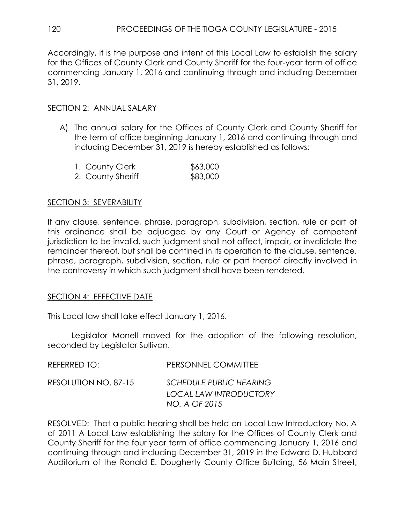Accordingly, it is the purpose and intent of this Local Law to establish the salary for the Offices of County Clerk and County Sheriff for the four-year term of office commencing January 1, 2016 and continuing through and including December 31, 2019.

### SECTION 2: ANNUAL SALARY

A) The annual salary for the Offices of County Clerk and County Sheriff for the term of office beginning January 1, 2016 and continuing through and including December 31, 2019 is hereby established as follows:

| 1. County Clerk   | \$63,000 |
|-------------------|----------|
| 2. County Sheriff | \$83,000 |

### SECTION 3: SEVERABILITY

If any clause, sentence, phrase, paragraph, subdivision, section, rule or part of this ordinance shall be adjudged by any Court or Agency of competent jurisdiction to be invalid, such judgment shall not affect, impair, or invalidate the remainder thereof, but shall be confined in its operation to the clause, sentence, phrase, paragraph, subdivision, section, rule or part thereof directly involved in the controversy in which such judgment shall have been rendered.

### SECTION 4: EFFECTIVE DATE

This Local law shall take effect January 1, 2016.

Legislator Monell moved for the adoption of the following resolution, seconded by Legislator Sullivan.

| REFERRED TO:         | PERSONNEL COMMITTEE                                                              |
|----------------------|----------------------------------------------------------------------------------|
| RESOLUTION NO. 87-15 | <b>SCHEDULE PUBLIC HEARING</b><br><b>LOCAL LAW INTRODUCTORY</b><br>NO. A OF 2015 |

RESOLVED: That a public hearing shall be held on Local Law Introductory No. A of 2011 A Local Law establishing the salary for the Offices of County Clerk and County Sheriff for the four year term of office commencing January 1, 2016 and continuing through and including December 31, 2019 in the Edward D. Hubbard Auditorium of the Ronald E. Dougherty County Office Building, 56 Main Street,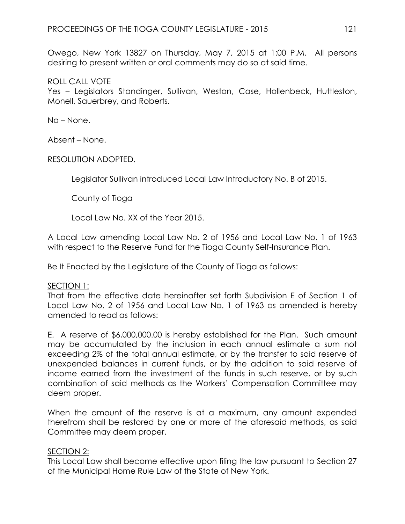Owego, New York 13827 on Thursday, May 7, 2015 at 1:00 P.M. All persons desiring to present written or oral comments may do so at said time.

#### ROLL CALL VOTE

Yes – Legislators Standinger, Sullivan, Weston, Case, Hollenbeck, Huttleston, Monell, Sauerbrey, and Roberts.

No – None.

Absent – None.

RESOLUTION ADOPTED.

Legislator Sullivan introduced Local Law Introductory No. B of 2015.

County of Tioga

Local Law No. XX of the Year 2015.

A Local Law amending Local Law No. 2 of 1956 and Local Law No. 1 of 1963 with respect to the Reserve Fund for the Tioga County Self-Insurance Plan.

Be It Enacted by the Legislature of the County of Tioga as follows:

SECTION 1:

That from the effective date hereinafter set forth Subdivision E of Section 1 of Local Law No. 2 of 1956 and Local Law No. 1 of 1963 as amended is hereby amended to read as follows:

E. A reserve of \$6,000,000.00 is hereby established for the Plan. Such amount may be accumulated by the inclusion in each annual estimate a sum not exceeding 2% of the total annual estimate, or by the transfer to said reserve of unexpended balances in current funds, or by the addition to said reserve of income earned from the investment of the funds in such reserve, or by such combination of said methods as the Workers' Compensation Committee may deem proper.

When the amount of the reserve is at a maximum, any amount expended therefrom shall be restored by one or more of the aforesaid methods, as said Committee may deem proper.

### SECTION 2:

This Local Law shall become effective upon filing the law pursuant to Section 27 of the Municipal Home Rule Law of the State of New York.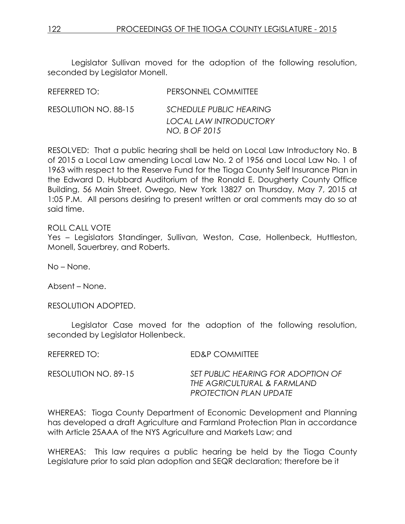Legislator Sullivan moved for the adoption of the following resolution, seconded by Legislator Monell.

| REFERRED TO:         | PERSONNEL COMMITTEE                                                              |
|----------------------|----------------------------------------------------------------------------------|
| RESOLUTION NO. 88-15 | <b>SCHEDULE PUBLIC HEARING</b><br><b>LOCAL LAW INTRODUCTORY</b><br>NO. B OF 2015 |
|                      |                                                                                  |

RESOLVED: That a public hearing shall be held on Local Law Introductory No. B of 2015 a Local Law amending Local Law No. 2 of 1956 and Local Law No. 1 of 1963 with respect to the Reserve Fund for the Tioga County Self Insurance Plan in the Edward D. Hubbard Auditorium of the Ronald E. Dougherty County Office Building, 56 Main Street, Owego, New York 13827 on Thursday, May 7, 2015 at 1:05 P.M. All persons desiring to present written or oral comments may do so at said time.

ROLL CALL VOTE

Yes - Legislators Standinger, Sullivan, Weston, Case, Hollenbeck, Huttleston, Monell, Sauerbrey, and Roberts.

No – None.

Absent – None.

RESOLUTION ADOPTED.

Legislator Case moved for the adoption of the following resolution, seconded by Legislator Hollenbeck.

REFERRED TO: ED&P COMMITTEE

| RESOLUTION NO. 89-15 | SET PUBLIC HEARING FOR ADOPTION OF |
|----------------------|------------------------------------|
|                      | THE AGRICULTURAL & FARMLAND        |
|                      | <b>PROTECTION PLAN UPDATE</b>      |

WHEREAS: Tioga County Department of Economic Development and Planning has developed a draft Agriculture and Farmland Protection Plan in accordance with Article 25AAA of the NYS Agriculture and Markets Law; and

WHEREAS: This law requires a public hearing be held by the Tioga County Legislature prior to said plan adoption and SEQR declaration; therefore be it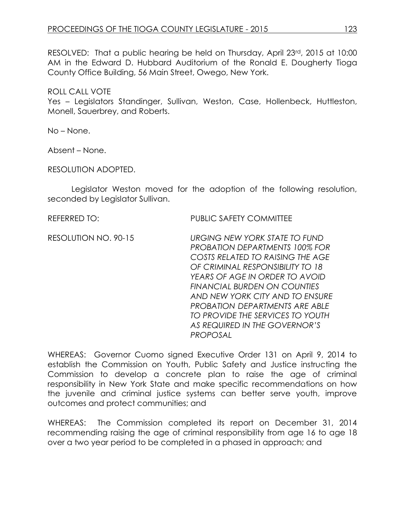RESOLVED: That a public hearing be held on Thursday, April 23rd, 2015 at 10:00 AM in the Edward D. Hubbard Auditorium of the Ronald E. Dougherty Tioga County Office Building, 56 Main Street, Owego, New York.

### ROLL CALL VOTE

Yes – Legislators Standinger, Sullivan, Weston, Case, Hollenbeck, Huttleston, Monell, Sauerbrey, and Roberts.

No – None.

Absent – None.

RESOLUTION ADOPTED.

Legislator Weston moved for the adoption of the following resolution, seconded by Legislator Sullivan.

REFERRED TO: PUBLIC SAFETY COMMITTEE

RESOLUTION NO. 90-15 *URGING NEW YORK STATE TO FUND PROBATION DEPARTMENTS 100% FOR COSTS RELATED TO RAISING THE AGE OF CRIMINAL RESPONSIBILITY TO 18 YEARS OF AGE IN ORDER TO AVOID FINANCIAL BURDEN ON COUNTIES AND NEW YORK CITY AND TO ENSURE PROBATION DEPARTMENTS ARE ABLE TO PROVIDE THE SERVICES TO YOUTH AS REQUIRED IN THE GOVERNOR'S PROPOSAL*

WHEREAS: Governor Cuomo signed Executive Order 131 on April 9, 2014 to establish the Commission on Youth, Public Safety and Justice instructing the Commission to develop a concrete plan to raise the age of criminal responsibility in New York State and make specific recommendations on how the juvenile and criminal justice systems can better serve youth, improve outcomes and protect communities; and

WHEREAS: The Commission completed its report on December 31, 2014 recommending raising the age of criminal responsibility from age 16 to age 18 over a two year period to be completed in a phased in approach; and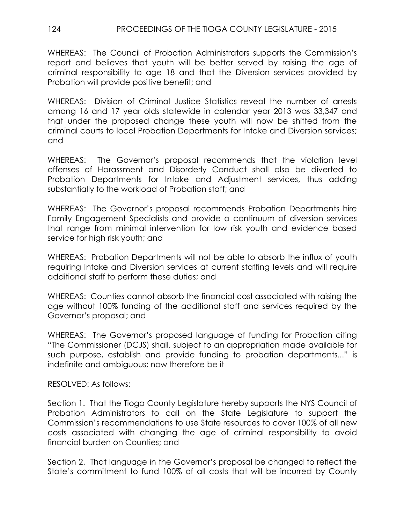# 124 PROCEEDINGS OF THE TIOGA COUNTY LEGISLATURE - 2015

WHEREAS: The Council of Probation Administrators supports the Commission's report and believes that youth will be better served by raising the age of criminal responsibility to age 18 and that the Diversion services provided by Probation will provide positive benefit; and

WHEREAS: Division of Criminal Justice Statistics reveal the number of arrests among 16 and 17 year olds statewide in calendar year 2013 was 33,347 and that under the proposed change these youth will now be shifted from the criminal courts to local Probation Departments for Intake and Diversion services; and

WHEREAS: The Governor's proposal recommends that the violation level offenses of Harassment and Disorderly Conduct shall also be diverted to Probation Departments for Intake and Adjustment services, thus adding substantially to the workload of Probation staff; and

WHEREAS: The Governor's proposal recommends Probation Departments hire Family Engagement Specialists and provide a continuum of diversion services that range from minimal intervention for low risk youth and evidence based service for high risk youth; and

WHEREAS: Probation Departments will not be able to absorb the influx of youth requiring Intake and Diversion services at current staffing levels and will require additional staff to perform these duties; and

WHEREAS: Counties cannot absorb the financial cost associated with raising the age without 100% funding of the additional staff and services required by the Governor's proposal; and

WHEREAS: The Governor's proposed language of funding for Probation citing "The Commissioner (DCJS) shall, subject to an appropriation made available for such purpose, establish and provide funding to probation departments..." is indefinite and ambiguous; now therefore be it

RESOLVED: As follows:

Section 1. That the Tioga County Legislature hereby supports the NYS Council of Probation Administrators to call on the State Legislature to support the Commission's recommendations to use State resources to cover 100% of all new costs associated with changing the age of criminal responsibility to avoid financial burden on Counties; and

Section 2. That language in the Governor's proposal be changed to reflect the State's commitment to fund 100% of all costs that will be incurred by County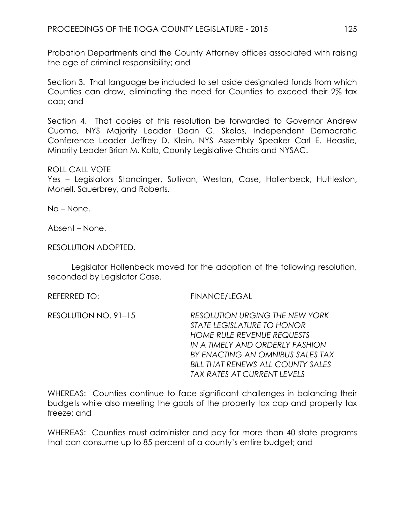Probation Departments and the County Attorney offices associated with raising the age of criminal responsibility; and

Section 3. That language be included to set aside designated funds from which Counties can draw, eliminating the need for Counties to exceed their 2% tax cap; and

Section 4. That copies of this resolution be forwarded to Governor Andrew Cuomo, NYS Majority Leader Dean G. Skelos, Independent Democratic Conference Leader Jeffrey D. Klein, NYS Assembly Speaker Carl E. Heastie, Minority Leader Brian M. Kolb, County Legislative Chairs and NYSAC.

### ROLL CALL VOTE

Yes – Legislators Standinger, Sullivan, Weston, Case, Hollenbeck, Huttleston, Monell, Sauerbrey, and Roberts.

No – None.

Absent – None.

RESOLUTION ADOPTED.

Legislator Hollenbeck moved for the adoption of the following resolution, seconded by Legislator Case.

REFERRED TO: FINANCE/LEGAL

RESOLUTION NO. 91–15 *RESOLUTION URGING THE NEW YORK STATE LEGISLATURE TO HONOR HOME RULE REVENUE REQUESTS IN A TIMELY AND ORDERLY FASHION BY ENACTING AN OMNIBUS SALES TAX BILL THAT RENEWS ALL COUNTY SALES TAX RATES AT CURRENT LEVELS*

WHEREAS: Counties continue to face significant challenges in balancing their budgets while also meeting the goals of the property tax cap and property tax freeze; and

WHEREAS: Counties must administer and pay for more than 40 state programs that can consume up to 85 percent of a county's entire budget; and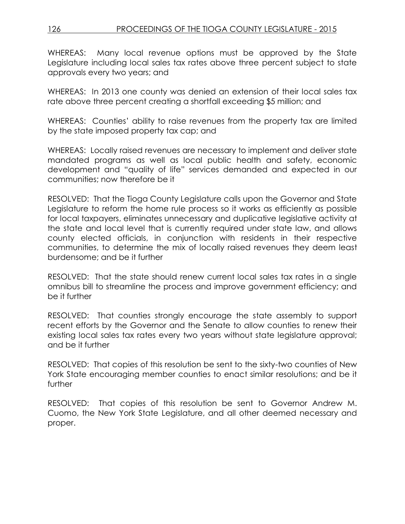WHEREAS: Many local revenue options must be approved by the State Legislature including local sales tax rates above three percent subject to state approvals every two years; and

WHEREAS: In 2013 one county was denied an extension of their local sales tax rate above three percent creating a shortfall exceeding \$5 million; and

WHEREAS: Counties' ability to raise revenues from the property tax are limited by the state imposed property tax cap; and

WHEREAS: Locally raised revenues are necessary to implement and deliver state mandated programs as well as local public health and safety, economic development and "quality of life" services demanded and expected in our communities; now therefore be it

RESOLVED: That the Tioga County Legislature calls upon the Governor and State Legislature to reform the home rule process so it works as efficiently as possible for local taxpayers, eliminates unnecessary and duplicative legislative activity at the state and local level that is currently required under state law, and allows county elected officials, in conjunction with residents in their respective communities, to determine the mix of locally raised revenues they deem least burdensome; and be it further

RESOLVED: That the state should renew current local sales tax rates in a single omnibus bill to streamline the process and improve government efficiency; and be it further

RESOLVED: That counties strongly encourage the state assembly to support recent efforts by the Governor and the Senate to allow counties to renew their existing local sales tax rates every two years without state legislature approval; and be it further

RESOLVED: That copies of this resolution be sent to the sixty-two counties of New York State encouraging member counties to enact similar resolutions; and be it further

RESOLVED: That copies of this resolution be sent to Governor Andrew M. Cuomo, the New York State Legislature, and all other deemed necessary and proper.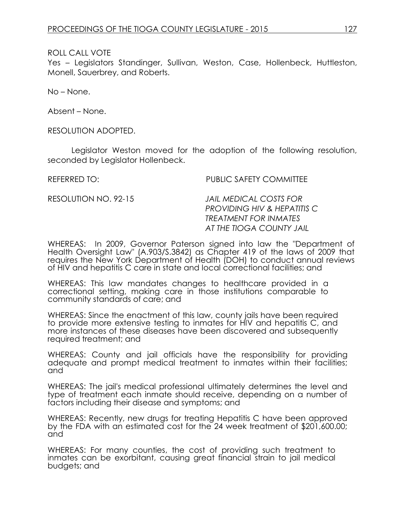ROLL CALL VOTE

Yes – Legislators Standinger, Sullivan, Weston, Case, Hollenbeck, Huttleston, Monell, Sauerbrey, and Roberts.

No – None.

Absent – None.

RESOLUTION ADOPTED.

Legislator Weston moved for the adoption of the following resolution, seconded by Legislator Hollenbeck.

REFERRED TO: PUBLIC SAFETY COMMITTEE

RESOLUTION NO. 92-15 *JAIL MEDICAL COSTS FOR PROVIDING HIV & HEPATITIS C TREATMENT FOR INMATES AT THE TIOGA COUNTY JAIL*

WHEREAS: In 2009, Governor Paterson signed into law the "Department of Health Oversight Law" (A.903/S.3842) as Chapter 419 of the laws of 2009 that requires the New York Department of Health (DOH) to conduct annual reviews of HIV and hepatitis C care in state and local correctional facilities; and

WHEREAS: This law mandates changes to healthcare provided in a correctional setting, making care in those institutions comparable to community standards of care; and

WHEREAS: Since the enactment of this law, county jails have been required to provide more extensive testing to inmates for HIV and hepatitis C, and more instances of these diseases have been discovered and subsequently required treatment; and

WHEREAS: County and jail officials have the responsibility for providing adequate and prompt medical treatment to inmates within their facilities; and

WHEREAS: The jail's medical professional ultimately determines the level and type of treatment each inmate should receive, depending on a number of factors including their disease and symptoms; and

WHEREAS: Recently, new drugs for treating Hepatitis C have been approved by the FDA with an estimated cost for the 24 week treatment of \$201,600.00; and

WHEREAS: For many counties, the cost of providing such treatment to inmates can be exorbitant, causing great financial strain to jail medical budgets; and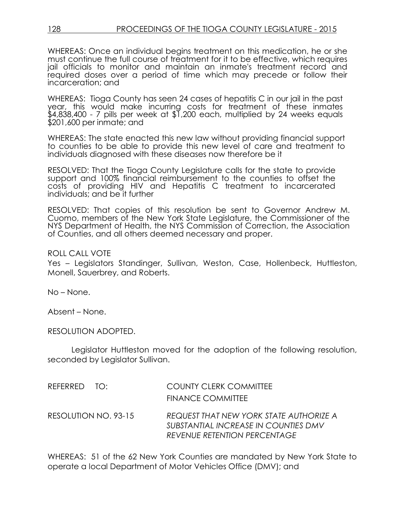WHEREAS: Once an individual begins treatment on this medication, he or she must continue the full course of treatment for it to be effective, which requires jail officials to monitor and maintain an inmate's treatment record and required doses over a period of time which may precede or follow their incarceration; and

WHEREAS: Tioga County has seen 24 cases of hepatitis C in our jail in the past year, this would make incurring costs for treatment of these inmates \$4,838,400 - 7 pills per week at \$1,200 each, multiplied by 24 weeks equals \$201,600 per inmate; and

WHEREAS: The state enacted this new law without providing financial support to counties to be able to provide this new level of care and treatment to individuals diagnosed with these diseases now therefore be it

RESOLVED: That the Tioga County Legislature calls for the state to provide support and 100% financial reimbursement to the counties to offset the costs of providing HIV and Hepatitis C treatment to incarcerated individuals; and be it further

RESOLVED: That copies of this resolution be sent to Governor Andrew M. Cuomo, members of the New York State Legislature, the Commissioner of the NYS Department of Health, the NYS Commission of Correction, the Association of Counties, and all others deemed necessary and proper.

#### ROLL CALL VOTE

Yes – Legislators Standinger, Sullivan, Weston, Case, Hollenbeck, Huttleston, Monell, Sauerbrey, and Roberts.

No – None.

Absent – None.

RESOLUTION ADOPTED.

Legislator Huttleston moved for the adoption of the following resolution, seconded by Legislator Sullivan.

| REFERRED TO:         | <b>COUNTY CLERK COMMITTEE</b><br><b>FINANCE COMMITTEE</b>                                                              |
|----------------------|------------------------------------------------------------------------------------------------------------------------|
| RESOLUTION NO. 93-15 | REQUEST THAT NEW YORK STATE AUTHORIZE A<br>SUBSTANTIAL INCREASE IN COUNTIES DMV<br><b>REVENUE RETENTION PERCENTAGE</b> |

WHEREAS: 51 of the 62 New York Counties are mandated by New York State to operate a local Department of Motor Vehicles Office (DMV); and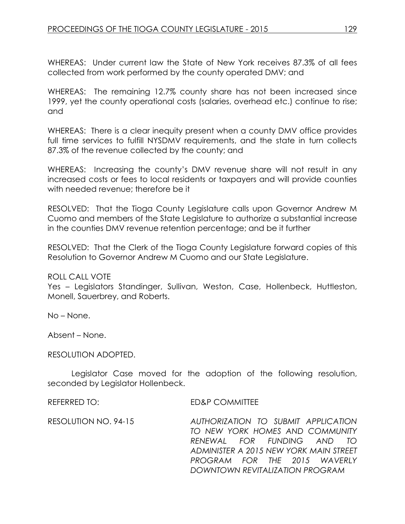WHEREAS: Under current law the State of New York receives 87.3% of all fees collected from work performed by the county operated DMV; and

WHEREAS: The remaining 12.7% county share has not been increased since 1999, yet the county operational costs (salaries, overhead etc.) continue to rise; and

WHEREAS: There is a clear inequity present when a county DMV office provides full time services to fulfill NYSDMV requirements, and the state in turn collects 87.3% of the revenue collected by the county; and

WHEREAS: Increasing the county's DMV revenue share will not result in any increased costs or fees to local residents or taxpayers and will provide counties with needed revenue; therefore be it

RESOLVED: That the Tioga County Legislature calls upon Governor Andrew M Cuomo and members of the State Legislature to authorize a substantial increase in the counties DMV revenue retention percentage; and be it further

RESOLVED: That the Clerk of the Tioga County Legislature forward copies of this Resolution to Governor Andrew M Cuomo and our State Legislature.

#### ROLL CALL VOTE

Yes – Legislators Standinger, Sullivan, Weston, Case, Hollenbeck, Huttleston, Monell, Sauerbrey, and Roberts.

No – None.

Absent – None.

#### RESOLUTION ADOPTED.

Legislator Case moved for the adoption of the following resolution, seconded by Legislator Hollenbeck.

REFERRED TO: ED&P COMMITTEE

RESOLUTION NO. 94-15 *AUTHORIZATION TO SUBMIT APPLICATION TO NEW YORK HOMES AND COMMUNITY RENEWAL FOR FUNDING AND TO ADMINISTER A 2015 NEW YORK MAIN STREET PROGRAM FOR THE 2015 WAVERLY DOWNTOWN REVITALIZATION PROGRAM*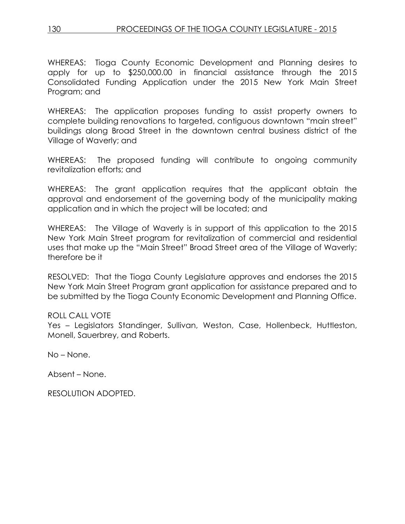WHEREAS: Tioga County Economic Development and Planning desires to apply for up to \$250,000.00 in financial assistance through the 2015 Consolidated Funding Application under the 2015 New York Main Street Program; and

WHEREAS: The application proposes funding to assist property owners to complete building renovations to targeted, contiguous downtown "main street" buildings along Broad Street in the downtown central business district of the Village of Waverly; and

WHEREAS: The proposed funding will contribute to ongoing community revitalization efforts; and

WHEREAS: The grant application requires that the applicant obtain the approval and endorsement of the governing body of the municipality making application and in which the project will be located; and

WHEREAS: The Village of Waverly is in support of this application to the 2015 New York Main Street program for revitalization of commercial and residential uses that make up the "Main Street" Broad Street area of the Village of Waverly; therefore be it

RESOLVED: That the Tioga County Legislature approves and endorses the 2015 New York Main Street Program grant application for assistance prepared and to be submitted by the Tioga County Economic Development and Planning Office.

### ROLL CALL VOTE

Yes – Legislators Standinger, Sullivan, Weston, Case, Hollenbeck, Huttleston, Monell, Sauerbrey, and Roberts.

No – None.

Absent – None.

RESOLUTION ADOPTED.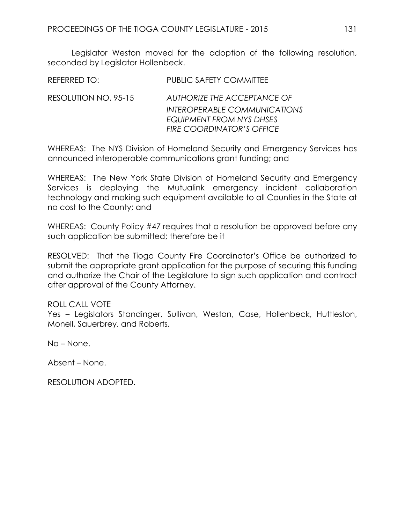Legislator Weston moved for the adoption of the following resolution, seconded by Legislator Hollenbeck.

| REFERRED TO:         | <b>PUBLIC SAFETY COMMITTEE</b>                                                                                                     |
|----------------------|------------------------------------------------------------------------------------------------------------------------------------|
| RESOLUTION NO. 95-15 | AUTHORIZE THE ACCEPTANCE OF<br><b>INTEROPERABLE COMMUNICATIONS</b><br>EQUIPMENT FROM NYS DHSES<br><b>FIRE COORDINATOR'S OFFICE</b> |
|                      |                                                                                                                                    |

WHEREAS: The NYS Division of Homeland Security and Emergency Services has announced interoperable communications grant funding; and

WHEREAS: The New York State Division of Homeland Security and Emergency Services is deploying the Mutualink emergency incident collaboration technology and making such equipment available to all Counties in the State at no cost to the County; and

WHEREAS: County Policy #47 requires that a resolution be approved before any such application be submitted; therefore be it

RESOLVED: That the Tioga County Fire Coordinator's Office be authorized to submit the appropriate grant application for the purpose of securing this funding and authorize the Chair of the Legislature to sign such application and contract after approval of the County Attorney.

#### ROLL CALL VOTE

Yes – Legislators Standinger, Sullivan, Weston, Case, Hollenbeck, Huttleston, Monell, Sauerbrey, and Roberts.

No – None.

Absent – None.

RESOLUTION ADOPTED.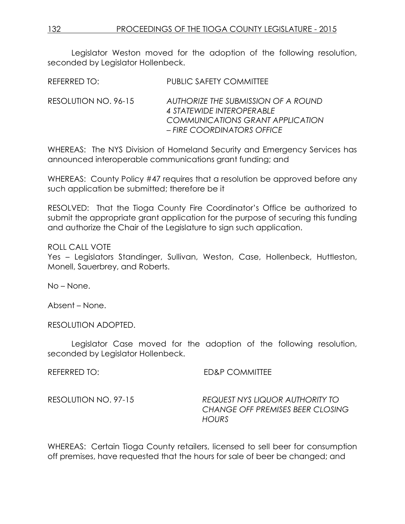Legislator Weston moved for the adoption of the following resolution, seconded by Legislator Hollenbeck.

REFERRED TO: PUBLIC SAFETY COMMITTEE

RESOLUTION NO. 96-15 *AUTHORIZE THE SUBMISSION OF A ROUND 4 STATEWIDE INTEROPERABLE COMMUNICATIONS GRANT APPLICATION – FIRE COORDINATORS OFFICE*

WHEREAS: The NYS Division of Homeland Security and Emergency Services has announced interoperable communications grant funding; and

WHEREAS: County Policy #47 requires that a resolution be approved before any such application be submitted; therefore be it

RESOLVED: That the Tioga County Fire Coordinator's Office be authorized to submit the appropriate grant application for the purpose of securing this funding and authorize the Chair of the Legislature to sign such application.

ROLL CALL VOTE

Yes – Legislators Standinger, Sullivan, Weston, Case, Hollenbeck, Huttleston, Monell, Sauerbrey, and Roberts.

No – None.

Absent – None.

RESOLUTION ADOPTED.

Legislator Case moved for the adoption of the following resolution, seconded by Legislator Hollenbeck.

REFERRED TO: ED&P COMMITTEE

RESOLUTION NO. 97-15 *REQUEST NYS LIQUOR AUTHORITY TO CHANGE OFF PREMISES BEER CLOSING HOURS* 

WHEREAS: Certain Tioga County retailers, licensed to sell beer for consumption off premises, have requested that the hours for sale of beer be changed; and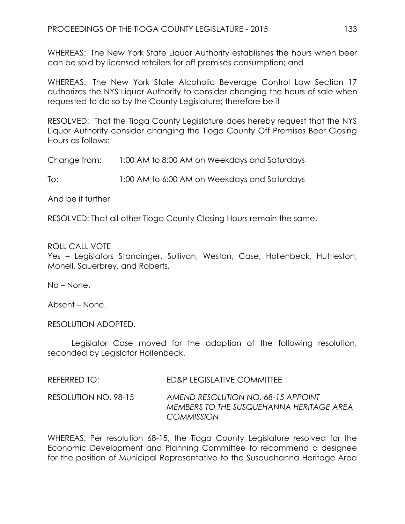WHEREAS: The New York State Liquor Authority establishes the hours when beer can be sold by licensed retailers for off premises consumption; and

WHEREAS: The New York State Alcoholic Beverage Control Law Section 17 authorizes the NYS Liquor Authority to consider changing the hours of sale when requested to do so by the County Legislature; therefore be it

RESOLVED: That the Tioga County Legislature does hereby request that the NYS Liquor Authority consider changing the Tioga County Off Premises Beer Closing Hours as follows:

Change from: 1:00 AM to 8:00 AM on Weekdays and Saturdays

To: 1:00 AM to 6:00 AM on Weekdays and Saturdays

And be it further

RESOLVED: That all other Tioga County Closing Hours remain the same.

### ROLL CALL VOTE

Yes – Legislators Standinger, Sullivan, Weston, Case, Hollenbeck, Huttleston, Monell, Sauerbrey, and Roberts.

No – None.

Absent – None.

RESOLUTION ADOPTED.

Legislator Case moved for the adoption of the following resolution, seconded by Legislator Hollenbeck.

| REFERRED TO:         | ED&P LEGISLATIVE COMMITTEE                                                                   |
|----------------------|----------------------------------------------------------------------------------------------|
| RESOLUTION NO. 98-15 | AMEND RESOLUTION NO. 68-15 APPOINT<br>MEMBERS TO THE SUSQUEHANNA HERITAGE AREA<br>COMMISSION |

WHEREAS: Per resolution 68-15, the Tioga County Legislature resolved for the Economic Development and Planning Committee to recommend a designee for the position of Municipal Representative to the Susquehanna Heritage Area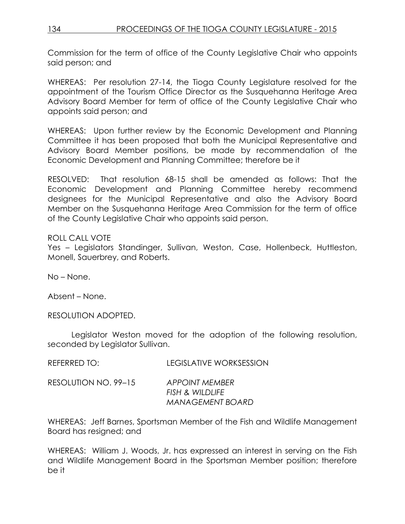Commission for the term of office of the County Legislative Chair who appoints said person; and

WHEREAS: Per resolution 27-14, the Tioga County Legislature resolved for the appointment of the Tourism Office Director as the Susquehanna Heritage Area Advisory Board Member for term of office of the County Legislative Chair who appoints said person; and

WHEREAS: Upon further review by the Economic Development and Planning Committee it has been proposed that both the Municipal Representative and Advisory Board Member positions, be made by recommendation of the Economic Development and Planning Committee; therefore be it

RESOLVED: That resolution 68-15 shall be amended as follows: That the Economic Development and Planning Committee hereby recommend designees for the Municipal Representative and also the Advisory Board Member on the Susquehanna Heritage Area Commission for the term of office of the County Legislative Chair who appoints said person.

### ROLL CALL VOTE

Yes - Legislators Standinger, Sullivan, Weston, Case, Hollenbeck, Huttleston, Monell, Sauerbrey, and Roberts.

No – None.

Absent – None.

RESOLUTION ADOPTED.

Legislator Weston moved for the adoption of the following resolution, seconded by Legislator Sullivan.

| REFERRED TO: | <b>LEGISLATIVE WORKSESSION</b> |
|--------------|--------------------------------|
|              |                                |

| RESOLUTION NO. 99-15 | <b>APPOINT MEMBER</b>   |
|----------------------|-------------------------|
|                      | FISH & WILDLIFE         |
|                      | <b>MANAGEMENT BOARD</b> |

WHEREAS: Jeff Barnes, Sportsman Member of the Fish and Wildlife Management Board has resigned; and

WHEREAS: William J. Woods, Jr. has expressed an interest in serving on the Fish and Wildlife Management Board in the Sportsman Member position; therefore be it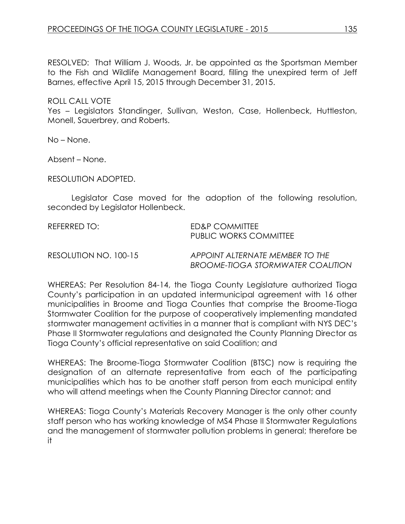RESOLVED: That William J. Woods, Jr. be appointed as the Sportsman Member to the Fish and Wildlife Management Board, filling the unexpired term of Jeff Barnes, effective April 15, 2015 through December 31, 2015.

#### ROLL CALL VOTE

Yes – Legislators Standinger, Sullivan, Weston, Case, Hollenbeck, Huttleston, Monell, Sauerbrey, and Roberts.

No – None.

Absent – None.

RESOLUTION ADOPTED.

Legislator Case moved for the adoption of the following resolution, seconded by Legislator Hollenbeck.

| REFERRED TO: I        | ED&P COMMITTEE<br>PUBLIC WORKS COMMITTEE                                    |
|-----------------------|-----------------------------------------------------------------------------|
| RESOLUTION NO. 100-15 | APPOINT ALTERNATE MEMBER TO THE<br><b>BROOME-TIOGA STORMWATER COALITION</b> |

WHEREAS: Per Resolution 84-14, the Tioga County Legislature authorized Tioga County's participation in an updated intermunicipal agreement with 16 other municipalities in Broome and Tioga Counties that comprise the Broome-Tioga Stormwater Coalition for the purpose of cooperatively implementing mandated stormwater management activities in a manner that is compliant with NYS DEC's Phase II Stormwater regulations and designated the County Planning Director as Tioga County's official representative on said Coalition; and

WHEREAS: The Broome-Tioga Stormwater Coalition (BTSC) now is requiring the designation of an alternate representative from each of the participating municipalities which has to be another staff person from each municipal entity who will attend meetings when the County Planning Director cannot; and

WHEREAS: Tioga County's Materials Recovery Manager is the only other county staff person who has working knowledge of MS4 Phase II Stormwater Regulations and the management of stormwater pollution problems in general; therefore be it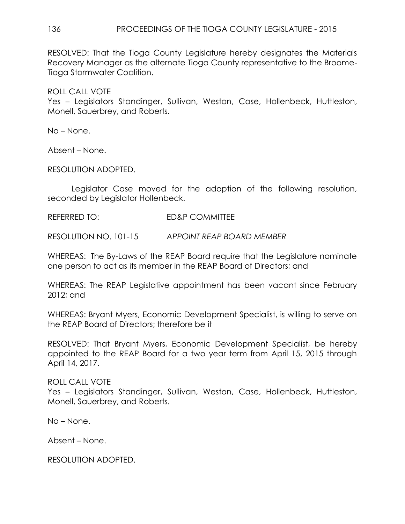RESOLVED: That the Tioga County Legislature hereby designates the Materials Recovery Manager as the alternate Tioga County representative to the Broome-Tioga Stormwater Coalition.

ROLL CALL VOTE

Yes – Legislators Standinger, Sullivan, Weston, Case, Hollenbeck, Huttleston, Monell, Sauerbrey, and Roberts.

No – None.

Absent – None.

RESOLUTION ADOPTED.

Legislator Case moved for the adoption of the following resolution, seconded by Legislator Hollenbeck.

REFERRED TO: ED&P COMMITTEE

RESOLUTION NO. 101-15 *APPOINT REAP BOARD MEMBER*

WHEREAS: The By-Laws of the REAP Board require that the Legislature nominate one person to act as its member in the REAP Board of Directors; and

WHEREAS: The REAP Legislative appointment has been vacant since February 2012; and

WHEREAS: Bryant Myers, Economic Development Specialist, is willing to serve on the REAP Board of Directors; therefore be it

RESOLVED: That Bryant Myers, Economic Development Specialist, be hereby appointed to the REAP Board for a two year term from April 15, 2015 through April 14, 2017.

ROLL CALL VOTE Yes – Legislators Standinger, Sullivan, Weston, Case, Hollenbeck, Huttleston, Monell, Sauerbrey, and Roberts.

No – None.

Absent – None.

RESOLUTION ADOPTED.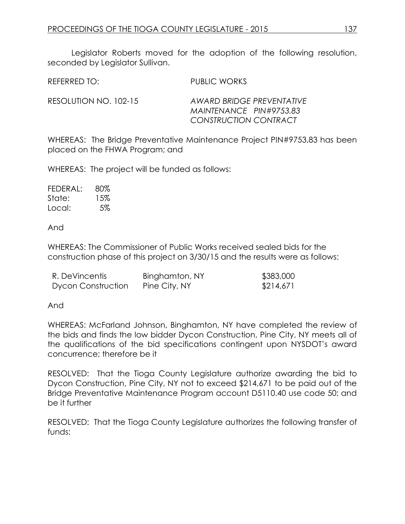Legislator Roberts moved for the adoption of the following resolution, seconded by Legislator Sullivan.

| REFERRED TO:          | PUBLIC WORKS              |
|-----------------------|---------------------------|
| RESOLUTION NO. 102-15 | AWARD BRIDGE PREVENTATIVE |
|                       | MAINTENANCE PIN#9753.83   |

WHEREAS: The Bridge Preventative Maintenance Project PIN#9753.83 has been placed on the FHWA Program; and

*CONSTRUCTION CONTRACT*

WHEREAS: The project will be funded as follows:

| FEDERAL: | 80% |
|----------|-----|
| State:   | 15% |
| Local:   | 5%  |

And

WHEREAS: The Commissioner of Public Works received sealed bids for the construction phase of this project on 3/30/15 and the results were as follows:

| R. DeVincentis            | Binghamton, NY | \$383,000 |
|---------------------------|----------------|-----------|
| <b>Dycon Construction</b> | Pine City, NY  | \$214,671 |

And

WHEREAS: McFarland Johnson, Binghamton, NY have completed the review of the bids and finds the low bidder Dycon Construction, Pine City, NY meets all of the qualifications of the bid specifications contingent upon NYSDOT's award concurrence; therefore be it

RESOLVED: That the Tioga County Legislature authorize awarding the bid to Dycon Construction, Pine City, NY not to exceed \$214,671 to be paid out of the Bridge Preventative Maintenance Program account D5110.40 use code 50; and be it further

RESOLVED: That the Tioga County Legislature authorizes the following transfer of funds: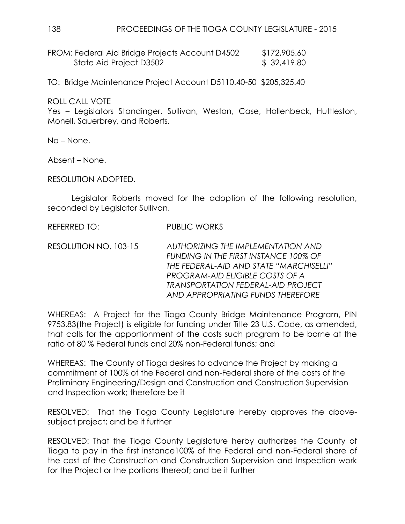FROM: Federal Aid Bridge Projects Account D4502 \$172,905.60 State Aid Project D3502 \$ 32,419.80

TO: Bridge Maintenance Project Account D5110.40-50 \$205,325.40

ROLL CALL VOTE

Yes – Legislators Standinger, Sullivan, Weston, Case, Hollenbeck, Huttleston, Monell, Sauerbrey, and Roberts.

No – None.

Absent – None.

RESOLUTION ADOPTED.

Legislator Roberts moved for the adoption of the following resolution, seconded by Legislator Sullivan.

REFERRED TO: PUBLIC WORKS

RESOLUTION NO. 103-15 *AUTHORIZING THE IMPLEMENTATION AND FUNDING IN THE FIRST INSTANCE 100% OF THE FEDERAL-AID AND STATE "MARCHISELLI" PROGRAM-AID ELIGIBLE COSTS OF A TRANSPORTATION FEDERAL-AID PROJECT AND APPROPRIATING FUNDS THEREFORE*

WHEREAS: A Project for the Tioga County Bridge Maintenance Program, PIN 9753.83(the Project) is eligible for funding under Title 23 U.S. Code, as amended, that calls for the apportionment of the costs such program to be borne at the ratio of 80 % Federal funds and 20% non-Federal funds; and

WHEREAS: The County of Tioga desires to advance the Project by making a commitment of 100% of the Federal and non-Federal share of the costs of the Preliminary Engineering/Design and Construction and Construction Supervision and Inspection work; therefore be it

RESOLVED: That the Tioga County Legislature hereby approves the abovesubject project; and be it further

RESOLVED: That the Tioga County Legislature herby authorizes the County of Tioga to pay in the first instance100% of the Federal and non-Federal share of the cost of the Construction and Construction Supervision and Inspection work for the Project or the portions thereof; and be it further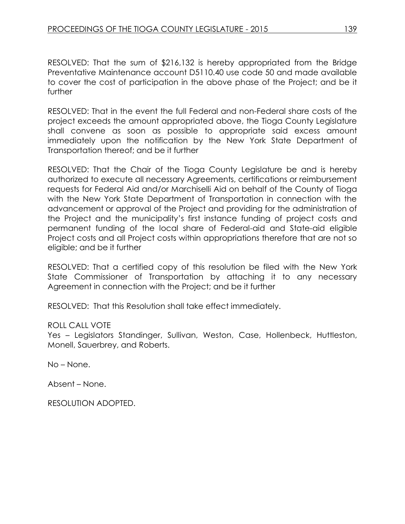RESOLVED: That the sum of \$216,132 is hereby appropriated from the Bridge Preventative Maintenance account D5110.40 use code 50 and made available to cover the cost of participation in the above phase of the Project; and be it further

RESOLVED: That in the event the full Federal and non-Federal share costs of the project exceeds the amount appropriated above, the Tioga County Legislature shall convene as soon as possible to appropriate said excess amount immediately upon the notification by the New York State Department of Transportation thereof; and be it further

RESOLVED: That the Chair of the Tioga County Legislature be and is hereby authorized to execute all necessary Agreements, certifications or reimbursement requests for Federal Aid and/or Marchiselli Aid on behalf of the County of Tioga with the New York State Department of Transportation in connection with the advancement or approval of the Project and providing for the administration of the Project and the municipality's first instance funding of project costs and permanent funding of the local share of Federal-aid and State-aid eligible Project costs and all Project costs within appropriations therefore that are not so eligible; and be it further

RESOLVED: That a certified copy of this resolution be filed with the New York State Commissioner of Transportation by attaching it to any necessary Agreement in connection with the Project; and be it further

RESOLVED: That this Resolution shall take effect immediately.

#### ROLL CALL VOTE

Yes – Legislators Standinger, Sullivan, Weston, Case, Hollenbeck, Huttleston, Monell, Sauerbrey, and Roberts.

No – None.

Absent – None.

RESOLUTION ADOPTED.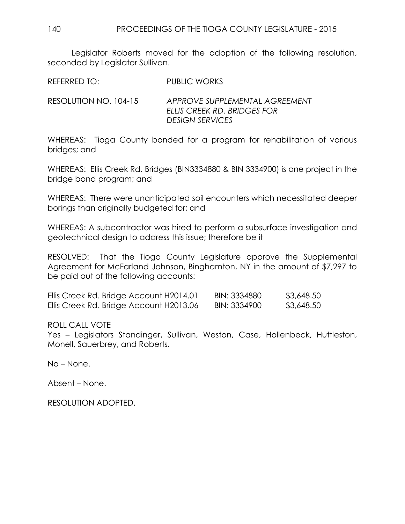Legislator Roberts moved for the adoption of the following resolution, seconded by Legislator Sullivan.

REFERRED TO: PUBLIC WORKS

RESOLUTION NO. 104-15 *APPROVE SUPPLEMENTAL AGREEMENT ELLIS CREEK RD. BRIDGES FOR DESIGN SERVICES*

WHEREAS: Tioga County bonded for a program for rehabilitation of various bridges; and

WHEREAS: Ellis Creek Rd. Bridges (BIN3334880 & BIN 3334900) is one project in the bridge bond program; and

WHEREAS: There were unanticipated soil encounters which necessitated deeper borings than originally budgeted for; and

WHEREAS: A subcontractor was hired to perform a subsurface investigation and geotechnical design to address this issue; therefore be it

RESOLVED: That the Tioga County Legislature approve the Supplemental Agreement for McFarland Johnson, Binghamton, NY in the amount of \$7,297 to be paid out of the following accounts:

| Ellis Creek Rd. Bridge Account H2014.01 | BIN: 3334880 | \$3,648.50 |
|-----------------------------------------|--------------|------------|
| Ellis Creek Rd. Bridge Account H2013.06 | BIN: 3334900 | \$3,648.50 |

### ROLL CALL VOTE

Yes – Legislators Standinger, Sullivan, Weston, Case, Hollenbeck, Huttleston, Monell, Sauerbrey, and Roberts.

No – None.

Absent – None.

RESOLUTION ADOPTED.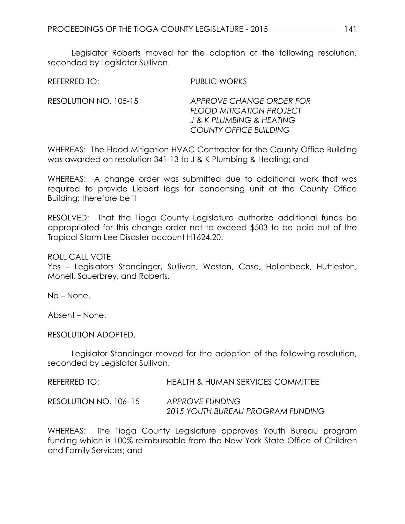Legislator Roberts moved for the adoption of the following resolution, seconded by Legislator Sullivan.

REFERRED TO: PUBLIC WORKS

RESOLUTION NO. 105-15 *APPROVE CHANGE ORDER FOR FLOOD MITIGATION PROJECT J & K PLUMBING & HEATING COUNTY OFFICE BUILDING*

WHEREAS: The Flood Mitigation HVAC Contractor for the County Office Building was awarded on resolution 341-13 to J & K Plumbing & Heating; and

WHEREAS: A change order was submitted due to additional work that was required to provide Liebert legs for condensing unit at the County Office Building; therefore be it

RESOLVED: That the Tioga County Legislature authorize additional funds be appropriated for this change order not to exceed \$503 to be paid out of the Tropical Storm Lee Disaster account H1624.20.

ROLL CALL VOTE

Yes – Legislators Standinger, Sullivan, Weston, Case, Hollenbeck, Huttleston, Monell, Sauerbrey, and Roberts.

No – None.

Absent – None.

RESOLUTION ADOPTED.

Legislator Standinger moved for the adoption of the following resolution, seconded by Legislator Sullivan.

REFERRED TO: HEALTH & HUMAN SERVICES COMMITTEE RESOLUTION NO. 106–15 *APPROVE FUNDING*

*2015 YOUTH BUREAU PROGRAM FUNDING*

WHEREAS: The Tioga County Legislature approves Youth Bureau program funding which is 100% reimbursable from the New York State Office of Children and Family Services; and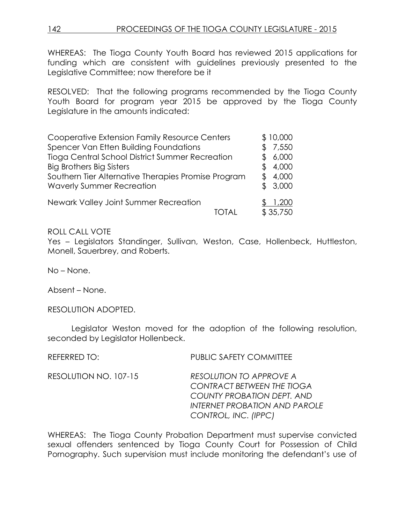WHEREAS: The Tioga County Youth Board has reviewed 2015 applications for funding which are consistent with guidelines previously presented to the Legislative Committee; now therefore be it

RESOLVED: That the following programs recommended by the Tioga County Youth Board for program year 2015 be approved by the Tioga County Legislature in the amounts indicated:

| Cooperative Extension Family Resource Centers       | \$10,000 |
|-----------------------------------------------------|----------|
| Spencer Van Etten Building Foundations              | 7,550    |
| Tioga Central School District Summer Recreation     | 6,000    |
| <b>Big Brothers Big Sisters</b>                     | 4,000    |
| Southern Tier Alternative Therapies Promise Program | 4,000    |
| <b>Waverly Summer Recreation</b>                    | \$3,000  |
| Newark Valley Joint Summer Recreation               | ,200     |
|                                                     | \$35,750 |

### ROLL CALL VOTE

Yes - Legislators Standinger, Sullivan, Weston, Case, Hollenbeck, Huttleston, Monell, Sauerbrey, and Roberts.

No – None.

Absent – None.

RESOLUTION ADOPTED.

Legislator Weston moved for the adoption of the following resolution, seconded by Legislator Hollenbeck.

| REFERRED TO:          | <b>PUBLIC SAFETY COMMITTEE</b>                                                                                                                             |
|-----------------------|------------------------------------------------------------------------------------------------------------------------------------------------------------|
| RESOLUTION NO. 107-15 | <b>RESOLUTION TO APPROVE A</b><br><b>CONTRACT BETWEEN THE TIOGA</b><br>COUNTY PROBATION DEPT. AND<br>INTERNET PROBATION AND PAROLE<br>CONTROL, INC. (IPPC) |

WHEREAS: The Tioga County Probation Department must supervise convicted sexual offenders sentenced by Tioga County Court for Possession of Child Pornography. Such supervision must include monitoring the defendant's use of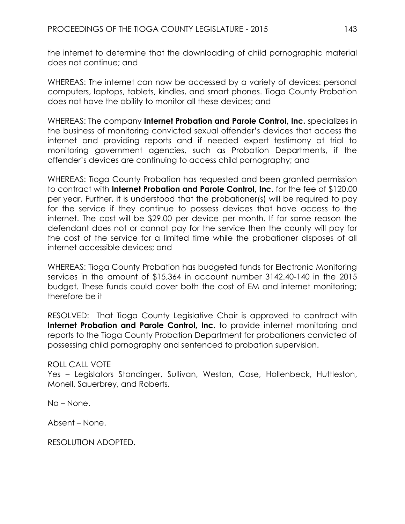the internet to determine that the downloading of child pornographic material does not continue; and

WHEREAS: The internet can now be accessed by a variety of devices: personal computers, laptops, tablets, kindles, and smart phones. Tioga County Probation does not have the ability to monitor all these devices; and

WHEREAS: The company **Internet Probation and Parole Control, Inc.** specializes in the business of monitoring convicted sexual offender's devices that access the internet and providing reports and if needed expert testimony at trial to monitoring government agencies, such as Probation Departments, if the offender's devices are continuing to access child pornography; and

WHEREAS: Tioga County Probation has requested and been granted permission to contract with **Internet Probation and Parole Control, Inc**. for the fee of \$120.00 per year. Further, it is understood that the probationer(s) will be required to pay for the service if they continue to possess devices that have access to the internet. The cost will be \$29.00 per device per month. If for some reason the defendant does not or cannot pay for the service then the county will pay for the cost of the service for a limited time while the probationer disposes of all internet accessible devices; and

WHEREAS: Tioga County Probation has budgeted funds for Electronic Monitoring services in the amount of \$15,364 in account number 3142.40-140 in the 2015 budget. These funds could cover both the cost of EM and internet monitoring; therefore be it

RESOLVED: That Tioga County Legislative Chair is approved to contract with **Internet Probation and Parole Control, Inc.** to provide internet monitoring and reports to the Tioga County Probation Department for probationers convicted of possessing child pornography and sentenced to probation supervision.

### ROLL CALL VOTE

Yes – Legislators Standinger, Sullivan, Weston, Case, Hollenbeck, Huttleston, Monell, Sauerbrey, and Roberts.

No – None.

Absent – None.

RESOLUTION ADOPTED.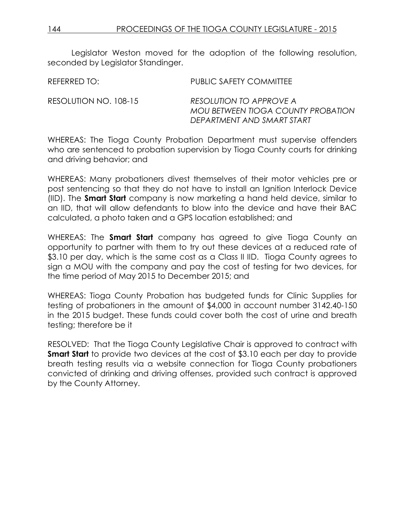Legislator Weston moved for the adoption of the following resolution, seconded by Legislator Standinger.

| REFERRED TO:          | PUBLIC SAFETY COMMITTEE                                                                     |
|-----------------------|---------------------------------------------------------------------------------------------|
| RESOLUTION NO. 108-15 | RESOLUTION TO APPROVE A<br>MOU BETWEEN TIOGA COUNTY PROBATION<br>DEPARTMENT AND SMART START |

WHEREAS: The Tioga County Probation Department must supervise offenders who are sentenced to probation supervision by Tioga County courts for drinking and driving behavior; and

WHEREAS: Many probationers divest themselves of their motor vehicles pre or post sentencing so that they do not have to install an Ignition Interlock Device (IID). The **Smart Start** company is now marketing a hand held device, similar to an IID, that will allow defendants to blow into the device and have their BAC calculated, a photo taken and a GPS location established; and

WHEREAS: The **Smart Start** company has agreed to give Tioga County an opportunity to partner with them to try out these devices at a reduced rate of \$3.10 per day, which is the same cost as a Class II IID. Tioga County agrees to sign a MOU with the company and pay the cost of testing for two devices, for the time period of May 2015 to December 2015; and

WHEREAS: Tioga County Probation has budgeted funds for Clinic Supplies for testing of probationers in the amount of \$4,000 in account number 3142.40-150 in the 2015 budget. These funds could cover both the cost of urine and breath testing; therefore be it

RESOLVED: That the Tioga County Legislative Chair is approved to contract with **Smart Start** to provide two devices at the cost of \$3.10 each per day to provide breath testing results via a website connection for Tioga County probationers convicted of drinking and driving offenses, provided such contract is approved by the County Attorney.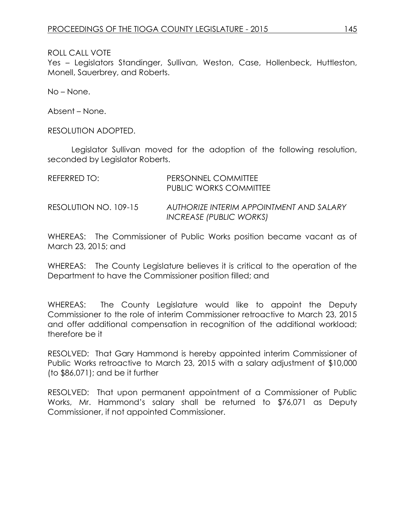ROLL CALL VOTE

Yes - Legislators Standinger, Sullivan, Weston, Case, Hollenbeck, Huttleston, Monell, Sauerbrey, and Roberts.

No – None.

Absent – None.

RESOLUTION ADOPTED.

Legislator Sullivan moved for the adoption of the following resolution, seconded by Legislator Roberts.

| REFERRED TO:          | PERSONNEL COMMITTEE<br>PUBLIC WORKS COMMITTEE                       |
|-----------------------|---------------------------------------------------------------------|
| RESOLUTION NO. 109-15 | AUTHORIZE INTERIM APPOINTMENT AND SALARY<br>INCREASE (PUBLIC WORKS) |

WHEREAS: The Commissioner of Public Works position became vacant as of March 23, 2015; and

WHEREAS: The County Legislature believes it is critical to the operation of the Department to have the Commissioner position filled; and

WHEREAS: The County Legislature would like to appoint the Deputy Commissioner to the role of interim Commissioner retroactive to March 23, 2015 and offer additional compensation in recognition of the additional workload; therefore be it

RESOLVED: That Gary Hammond is hereby appointed interim Commissioner of Public Works retroactive to March 23, 2015 with a salary adjustment of \$10,000 (to \$86,071); and be it further

RESOLVED: That upon permanent appointment of a Commissioner of Public Works, Mr. Hammond's salary shall be returned to \$76,071 as Deputy Commissioner, if not appointed Commissioner.